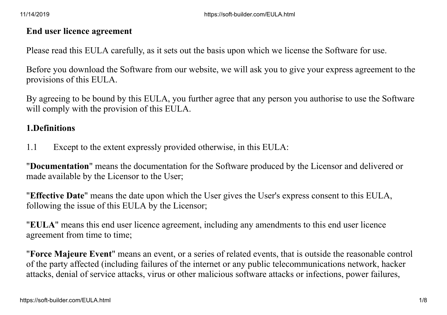#### **End user licence agreement**

Please read this EULA carefully, as it sets out the basis upon which we license the Software for use.

Before you download the Software from our website, we will ask you to give your express agreement to the provisions of this EULA.

By agreeing to be bound by this EULA, you further agree that any person you authorise to use the Software will comply with the provision of this EULA.

#### **1.Definitions**

1.1 Except to the extent expressly provided otherwise, in this EULA:

"**Documentation**" means the documentation for the Software produced by the Licensor and delivered or made available by the Licensor to the User;

"**Effective Date**" means the date upon which the User gives the User's express consent to this EULA, following the issue of this EULA by the Licensor;

"**EULA**" means this end user licence agreement, including any amendments to this end user licence agreement from time to time;

"**Force Majeure Event**" means an event, or a series of related events, that is outside the reasonable control of the party affected (including failures of the internet or any public telecommunications network, hacker attacks, denial of service attacks, virus or other malicious software attacks or infections, power failures,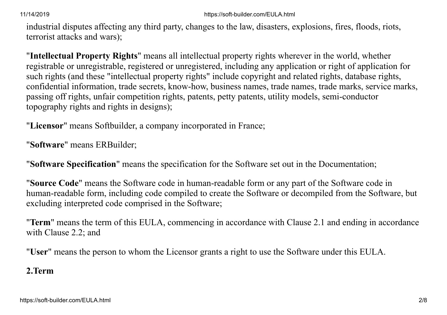11/14/2019 https://soft-builder.com/EULA.html

industrial disputes affecting any third party, changes to the law, disasters, explosions, fires, floods, riots, terrorist attacks and wars);

"**Intellectual Property Rights**" means all intellectual property rights wherever in the world, whether registrable or unregistrable, registered or unregistered, including any application or right of application for such rights (and these "intellectual property rights" include copyright and related rights, database rights, confidential information, trade secrets, know-how, business names, trade names, trade marks, service marks, passing off rights, unfair competition rights, patents, petty patents, utility models, semi-conductor topography rights and rights in designs);

"**Licensor**" means Softbuilder, a company incorporated in France;

"**Software**" means ERBuilder;

"**Software Specification**" means the specification for the Software set out in the Documentation;

"**Source Code**" means the Software code in human-readable form or any part of the Software code in human-readable form, including code compiled to create the Software or decompiled from the Software, but excluding interpreted code comprised in the Software;

"**Term**" means the term of this EULA, commencing in accordance with Clause 2.1 and ending in accordance with Clause 2.2; and

"**User**" means the person to whom the Licensor grants a right to use the Software under this EULA.

# **2.Term**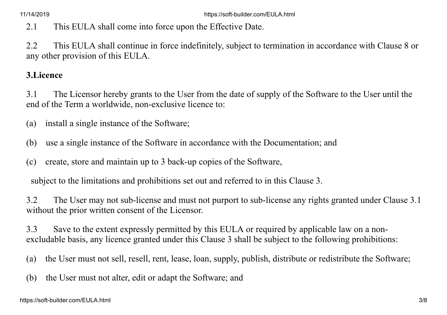2.1 This EULA shall come into force upon the Effective Date.

2.2 This EULA shall continue in force indefinitely, subject to termination in accordance with Clause 8 or any other provision of this EULA.

### **3.Licence**

3.1 The Licensor hereby grants to the User from the date of supply of the Software to the User until the end of the Term a worldwide, non-exclusive licence to:

(a) install a single instance of the Software;

(b) use a single instance of the Software in accordance with the Documentation; and

(c) create, store and maintain up to 3 back-up copies of the Software,

subject to the limitations and prohibitions set out and referred to in this Clause 3.

3.2 The User may not sub-license and must not purport to sub-license any rights granted under Clause 3.1 without the prior written consent of the Licensor.

3.3 Save to the extent expressly permitted by this EULA or required by applicable law on a nonexcludable basis, any licence granted under this Clause 3 shall be subject to the following prohibitions:

(a) the User must not sell, resell, rent, lease, loan, supply, publish, distribute or redistribute the Software;

(b) the User must not alter, edit or adapt the Software; and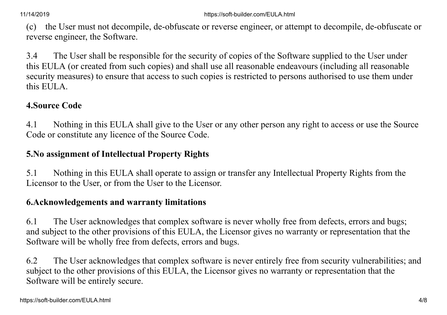(c) the User must not decompile, de-obfuscate or reverse engineer, or attempt to decompile, de-obfuscate or reverse engineer, the Software.

3.4 The User shall be responsible for the security of copies of the Software supplied to the User under this EULA (or created from such copies) and shall use all reasonable endeavours (including all reasonable security measures) to ensure that access to such copies is restricted to persons authorised to use them under this EULA.

# **4.Source Code**

4.1 Nothing in this EULA shall give to the User or any other person any right to access or use the Source Code or constitute any licence of the Source Code.

# **5.No assignment of Intellectual Property Rights**

5.1 Nothing in this EULA shall operate to assign or transfer any Intellectual Property Rights from the Licensor to the User, or from the User to the Licensor.

# **6.Acknowledgements and warranty limitations**

6.1 The User acknowledges that complex software is never wholly free from defects, errors and bugs; and subject to the other provisions of this EULA, the Licensor gives no warranty or representation that the Software will be wholly free from defects, errors and bugs.

6.2 The User acknowledges that complex software is never entirely free from security vulnerabilities; and subject to the other provisions of this EULA, the Licensor gives no warranty or representation that the Software will be entirely secure.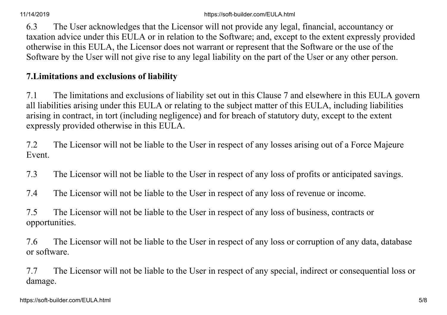6.3 The User acknowledges that the Licensor will not provide any legal, financial, accountancy or taxation advice under this EULA or in relation to the Software; and, except to the extent expressly provided otherwise in this EULA, the Licensor does not warrant or represent that the Software or the use of the Software by the User will not give rise to any legal liability on the part of the User or any other person.

# **7.Limitations and exclusions of liability**

7.1 The limitations and exclusions of liability set out in this Clause 7 and elsewhere in this EULA govern all liabilities arising under this EULA or relating to the subject matter of this EULA, including liabilities arising in contract, in tort (including negligence) and for breach of statutory duty, except to the extent expressly provided otherwise in this EULA.

7.2 The Licensor will not be liable to the User in respect of any losses arising out of a Force Majeure Event.

- 7.3 The Licensor will not be liable to the User in respect of any loss of profits or anticipated savings.
- 7.4 The Licensor will not be liable to the User in respect of any loss of revenue or income.

7.5 The Licensor will not be liable to the User in respect of any loss of business, contracts or opportunities.

7.6 The Licensor will not be liable to the User in respect of any loss or corruption of any data, database or software.

7.7 The Licensor will not be liable to the User in respect of any special, indirect or consequential loss or damage.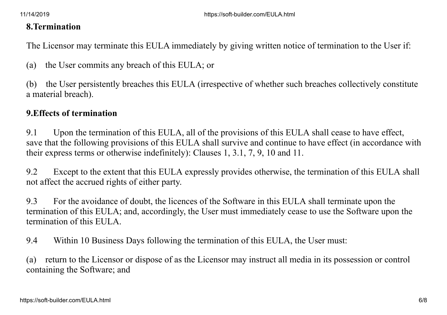#### **8.Termination**

The Licensor may terminate this EULA immediately by giving written notice of termination to the User if:

(a) the User commits any breach of this EULA; or

(b) the User persistently breaches this EULA (irrespective of whether such breaches collectively constitute a material breach).

### **9.Effects of termination**

9.1 Upon the termination of this EULA, all of the provisions of this EULA shall cease to have effect, save that the following provisions of this EULA shall survive and continue to have effect (in accordance with their express terms or otherwise indefinitely): Clauses 1, 3.1, 7, 9, 10 and 11.

9.2 Except to the extent that this EULA expressly provides otherwise, the termination of this EULA shall not affect the accrued rights of either party.

9.3 For the avoidance of doubt, the licences of the Software in this EULA shall terminate upon the termination of this EULA; and, accordingly, the User must immediately cease to use the Software upon the termination of this EULA.

9.4 Within 10 Business Days following the termination of this EULA, the User must:

(a) return to the Licensor or dispose of as the Licensor may instruct all media in its possession or control containing the Software; and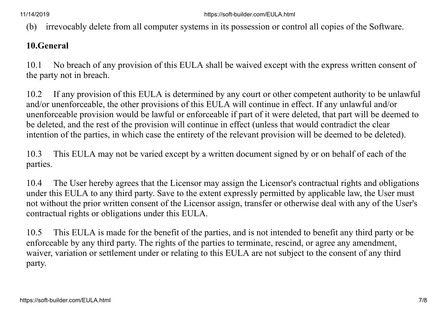(b) irrevocably delete from all computer systems in its possession or control all copies of the Software.

### **10.General**

10.1 No breach of any provision of this EULA shall be waived except with the express written consent of the party not in breach.

10.2 If any provision of this EULA is determined by any court or other competent authority to be unlawful and/or unenforceable, the other provisions of this EULA will continue in effect. If any unlawful and/or unenforceable provision would be lawful or enforceable if part of it were deleted, that part will be deemed to be deleted, and the rest of the provision will continue in effect (unless that would contradict the clear intention of the parties, in which case the entirety of the relevant provision will be deemed to be deleted).

10.3 This EULA may not be varied except by a written document signed by or on behalf of each of the parties.

10.4 The User hereby agrees that the Licensor may assign the Licensor's contractual rights and obligations under this EULA to any third party. Save to the extent expressly permitted by applicable law, the User must not without the prior written consent of the Licensor assign, transfer or otherwise deal with any of the User's contractual rights or obligations under this EULA.

10.5 This EULA is made for the benefit of the parties, and is not intended to benefit any third party or be enforceable by any third party. The rights of the parties to terminate, rescind, or agree any amendment, waiver, variation or settlement under or relating to this EULA are not subject to the consent of any third party.